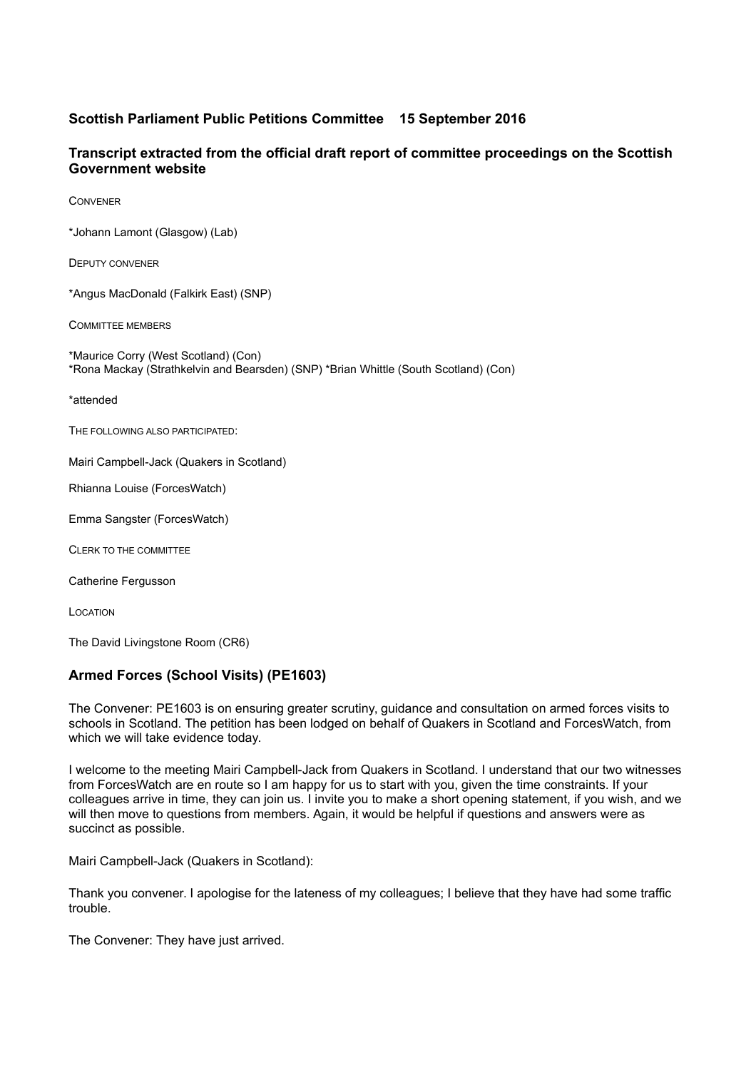## **Scottish Parliament Public Petitions Committee 15 September 2016**

## **Transcript extracted from the official draft report of committee proceedings on the Scottish Government website**

CONVENER

\*Johann Lamont (Glasgow) (Lab)

DEPUTY CONVENER

\*Angus MacDonald (Falkirk East) (SNP)

COMMITTEE MEMBERS

\*Maurice Corry (West Scotland) (Con) \*Rona Mackay (Strathkelvin and Bearsden) (SNP) \*Brian Whittle (South Scotland) (Con)

\*attended

THE FOLLOWING ALSO PARTICIPATED:

Mairi Campbell-Jack (Quakers in Scotland)

Rhianna Louise (ForcesWatch)

Emma Sangster (ForcesWatch)

CLERK TO THE COMMITTEE

Catherine Fergusson

LOCATION

The David Livingstone Room (CR6)

## **Armed Forces (School Visits) (PE1603)**

The Convener: PE1603 is on ensuring greater scrutiny, guidance and consultation on armed forces visits to schools in Scotland. The petition has been lodged on behalf of Quakers in Scotland and ForcesWatch, from which we will take evidence today.

I welcome to the meeting Mairi Campbell-Jack from Quakers in Scotland. I understand that our two witnesses from ForcesWatch are en route so I am happy for us to start with you, given the time constraints. If your colleagues arrive in time, they can join us. I invite you to make a short opening statement, if you wish, and we will then move to questions from members. Again, it would be helpful if questions and answers were as succinct as possible.

Mairi Campbell-Jack (Quakers in Scotland):

Thank you convener. I apologise for the lateness of my colleagues; I believe that they have had some traffic trouble.

The Convener: They have just arrived.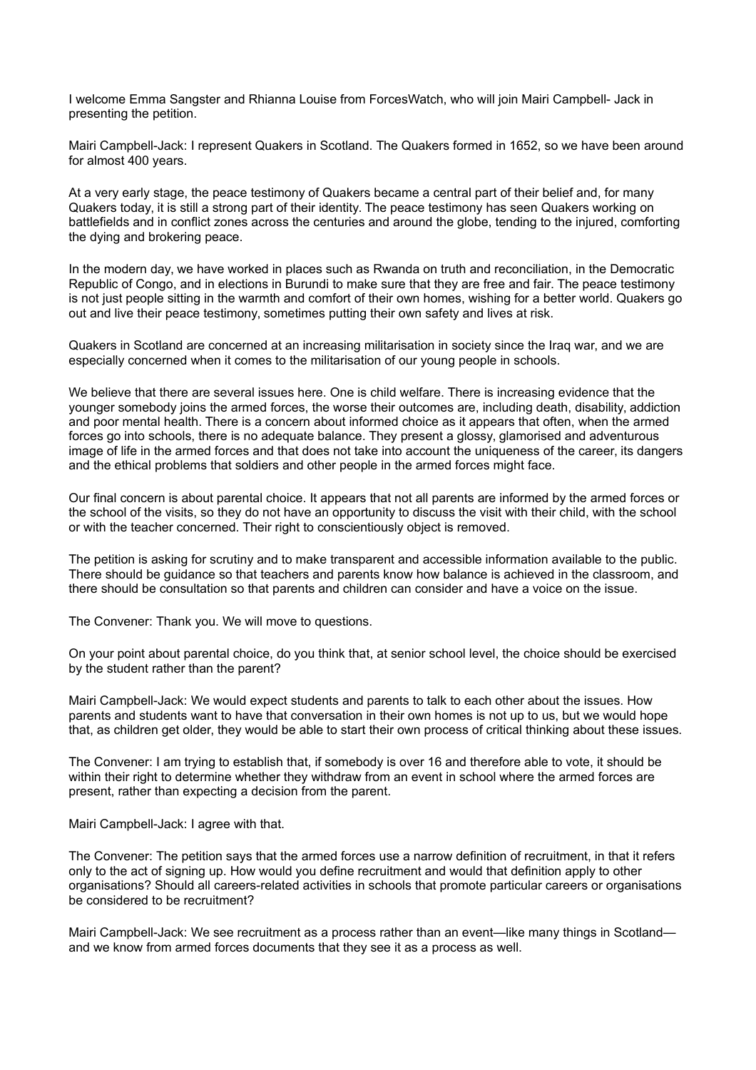I welcome Emma Sangster and Rhianna Louise from ForcesWatch, who will join Mairi Campbell- Jack in presenting the petition.

Mairi Campbell-Jack: I represent Quakers in Scotland. The Quakers formed in 1652, so we have been around for almost 400 years.

At a very early stage, the peace testimony of Quakers became a central part of their belief and, for many Quakers today, it is still a strong part of their identity. The peace testimony has seen Quakers working on battlefields and in conflict zones across the centuries and around the globe, tending to the injured, comforting the dying and brokering peace.

In the modern day, we have worked in places such as Rwanda on truth and reconciliation, in the Democratic Republic of Congo, and in elections in Burundi to make sure that they are free and fair. The peace testimony is not just people sitting in the warmth and comfort of their own homes, wishing for a better world. Quakers go out and live their peace testimony, sometimes putting their own safety and lives at risk.

Quakers in Scotland are concerned at an increasing militarisation in society since the Iraq war, and we are especially concerned when it comes to the militarisation of our young people in schools.

We believe that there are several issues here. One is child welfare. There is increasing evidence that the younger somebody joins the armed forces, the worse their outcomes are, including death, disability, addiction and poor mental health. There is a concern about informed choice as it appears that often, when the armed forces go into schools, there is no adequate balance. They present a glossy, glamorised and adventurous image of life in the armed forces and that does not take into account the uniqueness of the career, its dangers and the ethical problems that soldiers and other people in the armed forces might face.

Our final concern is about parental choice. It appears that not all parents are informed by the armed forces or the school of the visits, so they do not have an opportunity to discuss the visit with their child, with the school or with the teacher concerned. Their right to conscientiously object is removed.

The petition is asking for scrutiny and to make transparent and accessible information available to the public. There should be guidance so that teachers and parents know how balance is achieved in the classroom, and there should be consultation so that parents and children can consider and have a voice on the issue.

The Convener: Thank you. We will move to questions.

On your point about parental choice, do you think that, at senior school level, the choice should be exercised by the student rather than the parent?

Mairi Campbell-Jack: We would expect students and parents to talk to each other about the issues. How parents and students want to have that conversation in their own homes is not up to us, but we would hope that, as children get older, they would be able to start their own process of critical thinking about these issues.

The Convener: I am trying to establish that, if somebody is over 16 and therefore able to vote, it should be within their right to determine whether they withdraw from an event in school where the armed forces are present, rather than expecting a decision from the parent.

Mairi Campbell-Jack: I agree with that.

The Convener: The petition says that the armed forces use a narrow definition of recruitment, in that it refers only to the act of signing up. How would you define recruitment and would that definition apply to other organisations? Should all careers-related activities in schools that promote particular careers or organisations be considered to be recruitment?

Mairi Campbell-Jack: We see recruitment as a process rather than an event—like many things in Scotland and we know from armed forces documents that they see it as a process as well.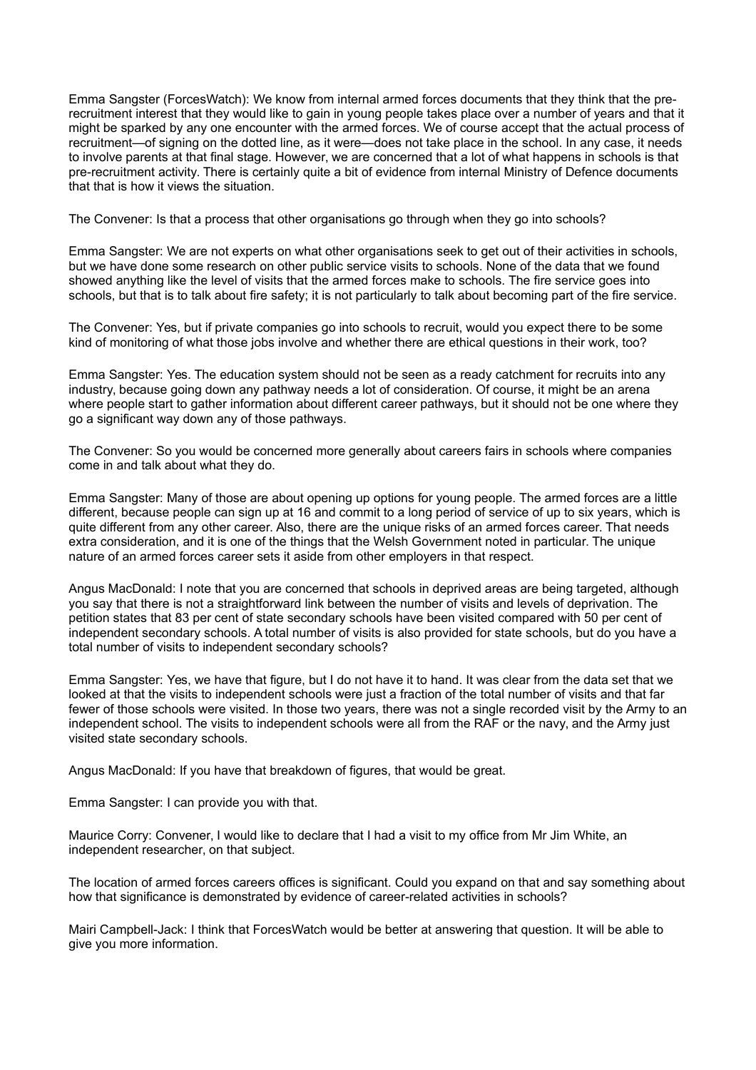Emma Sangster (ForcesWatch): We know from internal armed forces documents that they think that the prerecruitment interest that they would like to gain in young people takes place over a number of years and that it might be sparked by any one encounter with the armed forces. We of course accept that the actual process of recruitment—of signing on the dotted line, as it were—does not take place in the school. In any case, it needs to involve parents at that final stage. However, we are concerned that a lot of what happens in schools is that pre-recruitment activity. There is certainly quite a bit of evidence from internal Ministry of Defence documents that that is how it views the situation.

The Convener: Is that a process that other organisations go through when they go into schools?

Emma Sangster: We are not experts on what other organisations seek to get out of their activities in schools, but we have done some research on other public service visits to schools. None of the data that we found showed anything like the level of visits that the armed forces make to schools. The fire service goes into schools, but that is to talk about fire safety; it is not particularly to talk about becoming part of the fire service.

The Convener: Yes, but if private companies go into schools to recruit, would you expect there to be some kind of monitoring of what those jobs involve and whether there are ethical questions in their work, too?

Emma Sangster: Yes. The education system should not be seen as a ready catchment for recruits into any industry, because going down any pathway needs a lot of consideration. Of course, it might be an arena where people start to gather information about different career pathways, but it should not be one where they go a significant way down any of those pathways.

The Convener: So you would be concerned more generally about careers fairs in schools where companies come in and talk about what they do.

Emma Sangster: Many of those are about opening up options for young people. The armed forces are a little different, because people can sign up at 16 and commit to a long period of service of up to six years, which is quite different from any other career. Also, there are the unique risks of an armed forces career. That needs extra consideration, and it is one of the things that the Welsh Government noted in particular. The unique nature of an armed forces career sets it aside from other employers in that respect.

Angus MacDonald: I note that you are concerned that schools in deprived areas are being targeted, although you say that there is not a straightforward link between the number of visits and levels of deprivation. The petition states that 83 per cent of state secondary schools have been visited compared with 50 per cent of independent secondary schools. A total number of visits is also provided for state schools, but do you have a total number of visits to independent secondary schools?

Emma Sangster: Yes, we have that figure, but I do not have it to hand. It was clear from the data set that we looked at that the visits to independent schools were just a fraction of the total number of visits and that far fewer of those schools were visited. In those two years, there was not a single recorded visit by the Army to an independent school. The visits to independent schools were all from the RAF or the navy, and the Army just visited state secondary schools.

Angus MacDonald: If you have that breakdown of figures, that would be great.

Emma Sangster: I can provide you with that.

Maurice Corry: Convener, I would like to declare that I had a visit to my office from Mr Jim White, an independent researcher, on that subject.

The location of armed forces careers offices is significant. Could you expand on that and say something about how that significance is demonstrated by evidence of career-related activities in schools?

Mairi Campbell-Jack: I think that ForcesWatch would be better at answering that question. It will be able to give you more information.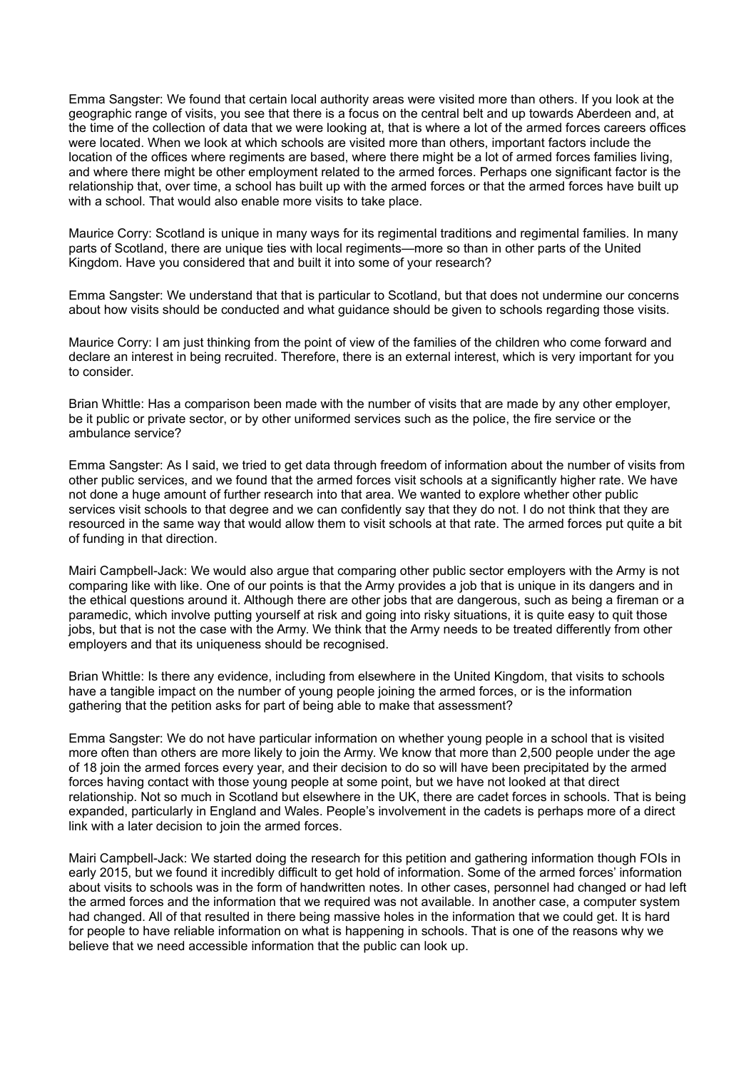Emma Sangster: We found that certain local authority areas were visited more than others. If you look at the geographic range of visits, you see that there is a focus on the central belt and up towards Aberdeen and, at the time of the collection of data that we were looking at, that is where a lot of the armed forces careers offices were located. When we look at which schools are visited more than others, important factors include the location of the offices where regiments are based, where there might be a lot of armed forces families living, and where there might be other employment related to the armed forces. Perhaps one significant factor is the relationship that, over time, a school has built up with the armed forces or that the armed forces have built up with a school. That would also enable more visits to take place.

Maurice Corry: Scotland is unique in many ways for its regimental traditions and regimental families. In many parts of Scotland, there are unique ties with local regiments—more so than in other parts of the United Kingdom. Have you considered that and built it into some of your research?

Emma Sangster: We understand that that is particular to Scotland, but that does not undermine our concerns about how visits should be conducted and what guidance should be given to schools regarding those visits.

Maurice Corry: I am just thinking from the point of view of the families of the children who come forward and declare an interest in being recruited. Therefore, there is an external interest, which is very important for you to consider.

Brian Whittle: Has a comparison been made with the number of visits that are made by any other employer, be it public or private sector, or by other uniformed services such as the police, the fire service or the ambulance service?

Emma Sangster: As I said, we tried to get data through freedom of information about the number of visits from other public services, and we found that the armed forces visit schools at a significantly higher rate. We have not done a huge amount of further research into that area. We wanted to explore whether other public services visit schools to that degree and we can confidently say that they do not. I do not think that they are resourced in the same way that would allow them to visit schools at that rate. The armed forces put quite a bit of funding in that direction.

Mairi Campbell-Jack: We would also argue that comparing other public sector employers with the Army is not comparing like with like. One of our points is that the Army provides a job that is unique in its dangers and in the ethical questions around it. Although there are other jobs that are dangerous, such as being a fireman or a paramedic, which involve putting yourself at risk and going into risky situations, it is quite easy to quit those jobs, but that is not the case with the Army. We think that the Army needs to be treated differently from other employers and that its uniqueness should be recognised.

Brian Whittle: Is there any evidence, including from elsewhere in the United Kingdom, that visits to schools have a tangible impact on the number of young people joining the armed forces, or is the information gathering that the petition asks for part of being able to make that assessment?

Emma Sangster: We do not have particular information on whether young people in a school that is visited more often than others are more likely to join the Army. We know that more than 2,500 people under the age of 18 join the armed forces every year, and their decision to do so will have been precipitated by the armed forces having contact with those young people at some point, but we have not looked at that direct relationship. Not so much in Scotland but elsewhere in the UK, there are cadet forces in schools. That is being expanded, particularly in England and Wales. People's involvement in the cadets is perhaps more of a direct link with a later decision to join the armed forces.

Mairi Campbell-Jack: We started doing the research for this petition and gathering information though FOIs in early 2015, but we found it incredibly difficult to get hold of information. Some of the armed forces' information about visits to schools was in the form of handwritten notes. In other cases, personnel had changed or had left the armed forces and the information that we required was not available. In another case, a computer system had changed. All of that resulted in there being massive holes in the information that we could get. It is hard for people to have reliable information on what is happening in schools. That is one of the reasons why we believe that we need accessible information that the public can look up.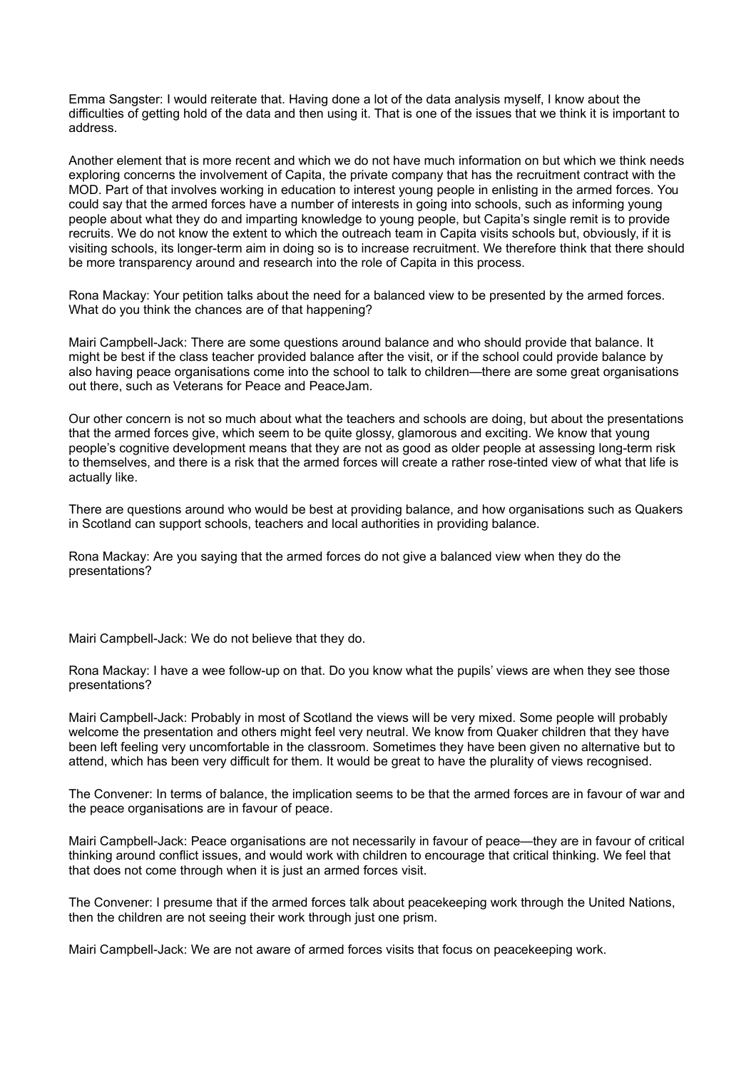Emma Sangster: I would reiterate that. Having done a lot of the data analysis myself, I know about the difficulties of getting hold of the data and then using it. That is one of the issues that we think it is important to address.

Another element that is more recent and which we do not have much information on but which we think needs exploring concerns the involvement of Capita, the private company that has the recruitment contract with the MOD. Part of that involves working in education to interest young people in enlisting in the armed forces. You could say that the armed forces have a number of interests in going into schools, such as informing young people about what they do and imparting knowledge to young people, but Capita's single remit is to provide recruits. We do not know the extent to which the outreach team in Capita visits schools but, obviously, if it is visiting schools, its longer-term aim in doing so is to increase recruitment. We therefore think that there should be more transparency around and research into the role of Capita in this process.

Rona Mackay: Your petition talks about the need for a balanced view to be presented by the armed forces. What do you think the chances are of that happening?

Mairi Campbell-Jack: There are some questions around balance and who should provide that balance. It might be best if the class teacher provided balance after the visit, or if the school could provide balance by also having peace organisations come into the school to talk to children—there are some great organisations out there, such as Veterans for Peace and PeaceJam.

Our other concern is not so much about what the teachers and schools are doing, but about the presentations that the armed forces give, which seem to be quite glossy, glamorous and exciting. We know that young people's cognitive development means that they are not as good as older people at assessing long-term risk to themselves, and there is a risk that the armed forces will create a rather rose-tinted view of what that life is actually like.

There are questions around who would be best at providing balance, and how organisations such as Quakers in Scotland can support schools, teachers and local authorities in providing balance.

Rona Mackay: Are you saying that the armed forces do not give a balanced view when they do the presentations?

Mairi Campbell-Jack: We do not believe that they do.

Rona Mackay: I have a wee follow-up on that. Do you know what the pupils' views are when they see those presentations?

Mairi Campbell-Jack: Probably in most of Scotland the views will be very mixed. Some people will probably welcome the presentation and others might feel very neutral. We know from Quaker children that they have been left feeling very uncomfortable in the classroom. Sometimes they have been given no alternative but to attend, which has been very difficult for them. It would be great to have the plurality of views recognised.

The Convener: In terms of balance, the implication seems to be that the armed forces are in favour of war and the peace organisations are in favour of peace.

Mairi Campbell-Jack: Peace organisations are not necessarily in favour of peace—they are in favour of critical thinking around conflict issues, and would work with children to encourage that critical thinking. We feel that that does not come through when it is just an armed forces visit.

The Convener: I presume that if the armed forces talk about peacekeeping work through the United Nations, then the children are not seeing their work through just one prism.

Mairi Campbell-Jack: We are not aware of armed forces visits that focus on peacekeeping work.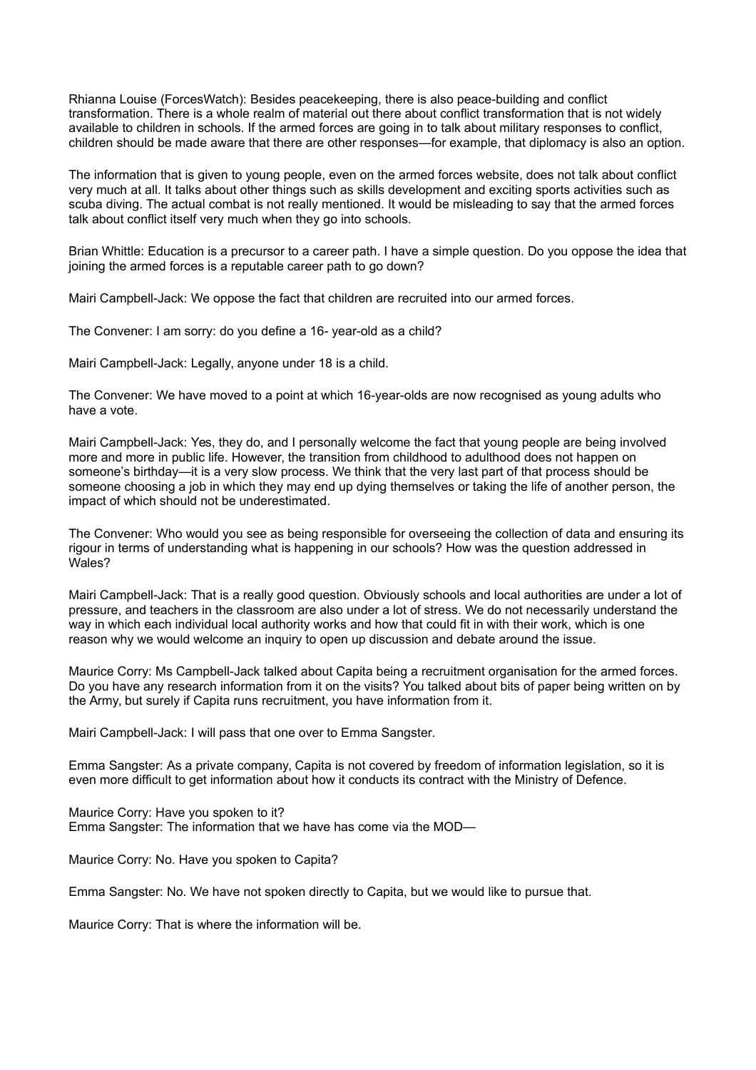Rhianna Louise (ForcesWatch): Besides peacekeeping, there is also peace-building and conflict transformation. There is a whole realm of material out there about conflict transformation that is not widely available to children in schools. If the armed forces are going in to talk about military responses to conflict, children should be made aware that there are other responses—for example, that diplomacy is also an option.

The information that is given to young people, even on the armed forces website, does not talk about conflict very much at all. It talks about other things such as skills development and exciting sports activities such as scuba diving. The actual combat is not really mentioned. It would be misleading to say that the armed forces talk about conflict itself very much when they go into schools.

Brian Whittle: Education is a precursor to a career path. I have a simple question. Do you oppose the idea that joining the armed forces is a reputable career path to go down?

Mairi Campbell-Jack: We oppose the fact that children are recruited into our armed forces.

The Convener: I am sorry: do you define a 16- year-old as a child?

Mairi Campbell-Jack: Legally, anyone under 18 is a child.

The Convener: We have moved to a point at which 16-year-olds are now recognised as young adults who have a vote.

Mairi Campbell-Jack: Yes, they do, and I personally welcome the fact that young people are being involved more and more in public life. However, the transition from childhood to adulthood does not happen on someone's birthday—it is a very slow process. We think that the very last part of that process should be someone choosing a job in which they may end up dying themselves or taking the life of another person, the impact of which should not be underestimated.

The Convener: Who would you see as being responsible for overseeing the collection of data and ensuring its rigour in terms of understanding what is happening in our schools? How was the question addressed in Wales?

Mairi Campbell-Jack: That is a really good question. Obviously schools and local authorities are under a lot of pressure, and teachers in the classroom are also under a lot of stress. We do not necessarily understand the way in which each individual local authority works and how that could fit in with their work, which is one reason why we would welcome an inquiry to open up discussion and debate around the issue.

Maurice Corry: Ms Campbell-Jack talked about Capita being a recruitment organisation for the armed forces. Do you have any research information from it on the visits? You talked about bits of paper being written on by the Army, but surely if Capita runs recruitment, you have information from it.

Mairi Campbell-Jack: I will pass that one over to Emma Sangster.

Emma Sangster: As a private company, Capita is not covered by freedom of information legislation, so it is even more difficult to get information about how it conducts its contract with the Ministry of Defence.

Maurice Corry: Have you spoken to it? Emma Sangster: The information that we have has come via the MOD—

Maurice Corry: No. Have you spoken to Capita?

Emma Sangster: No. We have not spoken directly to Capita, but we would like to pursue that.

Maurice Corry: That is where the information will be.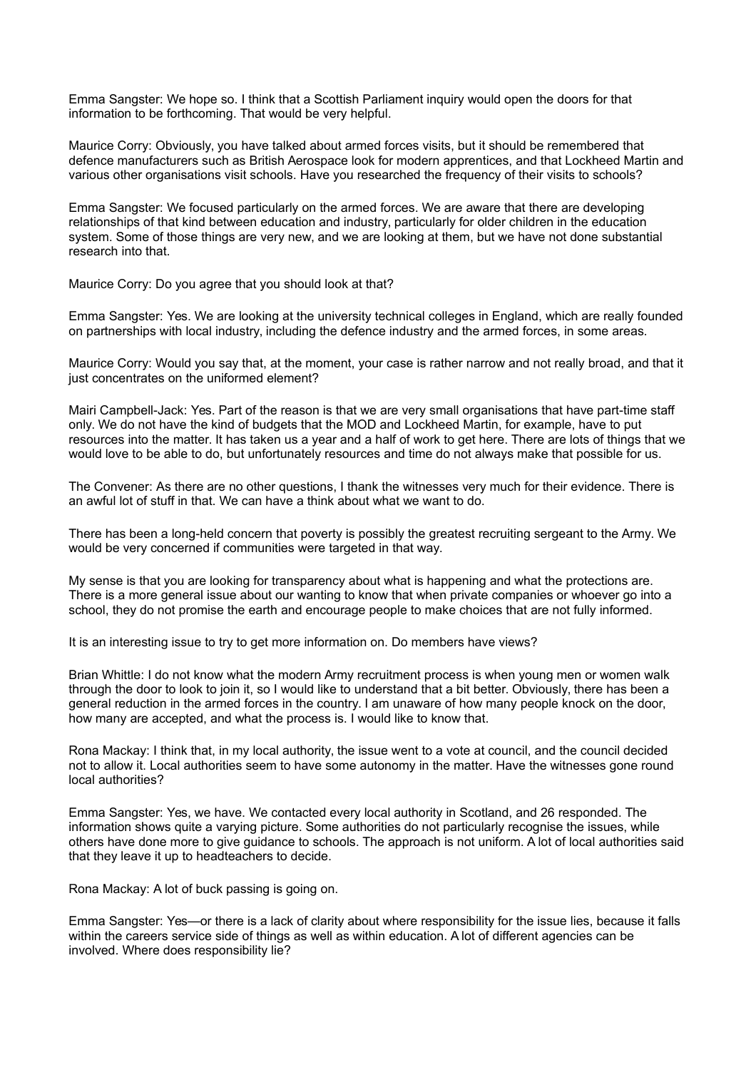Emma Sangster: We hope so. I think that a Scottish Parliament inquiry would open the doors for that information to be forthcoming. That would be very helpful.

Maurice Corry: Obviously, you have talked about armed forces visits, but it should be remembered that defence manufacturers such as British Aerospace look for modern apprentices, and that Lockheed Martin and various other organisations visit schools. Have you researched the frequency of their visits to schools?

Emma Sangster: We focused particularly on the armed forces. We are aware that there are developing relationships of that kind between education and industry, particularly for older children in the education system. Some of those things are very new, and we are looking at them, but we have not done substantial research into that.

Maurice Corry: Do you agree that you should look at that?

Emma Sangster: Yes. We are looking at the university technical colleges in England, which are really founded on partnerships with local industry, including the defence industry and the armed forces, in some areas.

Maurice Corry: Would you say that, at the moment, your case is rather narrow and not really broad, and that it just concentrates on the uniformed element?

Mairi Campbell-Jack: Yes. Part of the reason is that we are very small organisations that have part-time staff only. We do not have the kind of budgets that the MOD and Lockheed Martin, for example, have to put resources into the matter. It has taken us a year and a half of work to get here. There are lots of things that we would love to be able to do, but unfortunately resources and time do not always make that possible for us.

The Convener: As there are no other questions, I thank the witnesses very much for their evidence. There is an awful lot of stuff in that. We can have a think about what we want to do.

There has been a long-held concern that poverty is possibly the greatest recruiting sergeant to the Army. We would be very concerned if communities were targeted in that way.

My sense is that you are looking for transparency about what is happening and what the protections are. There is a more general issue about our wanting to know that when private companies or whoever go into a school, they do not promise the earth and encourage people to make choices that are not fully informed.

It is an interesting issue to try to get more information on. Do members have views?

Brian Whittle: I do not know what the modern Army recruitment process is when young men or women walk through the door to look to join it, so I would like to understand that a bit better. Obviously, there has been a general reduction in the armed forces in the country. I am unaware of how many people knock on the door, how many are accepted, and what the process is. I would like to know that.

Rona Mackay: I think that, in my local authority, the issue went to a vote at council, and the council decided not to allow it. Local authorities seem to have some autonomy in the matter. Have the witnesses gone round local authorities?

Emma Sangster: Yes, we have. We contacted every local authority in Scotland, and 26 responded. The information shows quite a varying picture. Some authorities do not particularly recognise the issues, while others have done more to give guidance to schools. The approach is not uniform. A lot of local authorities said that they leave it up to headteachers to decide.

Rona Mackay: A lot of buck passing is going on.

Emma Sangster: Yes—or there is a lack of clarity about where responsibility for the issue lies, because it falls within the careers service side of things as well as within education. A lot of different agencies can be involved. Where does responsibility lie?